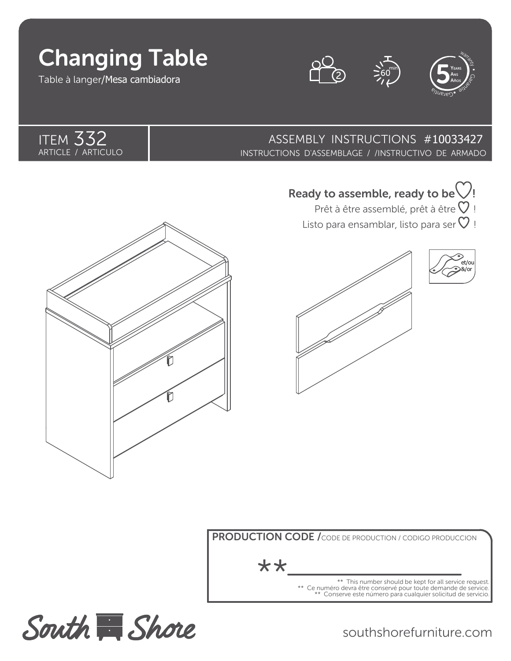# Changing Table

Table à langer/Mesa cambiadora

**ITEM 332** ARTICLE / ARTICULO







332 ASSEMBLY INSTRUCTIONS #10033427 INSTRUCTIONS D'ASSEMBLAGE / /INSTRUCTIVO DE ARMADO





Listo para ensamblar, listo para ser  $\heartsuit$  ! Prêt à être assemblé, prêt à être  $\heartsuit$  !



et/ou &/or

PRODUCTION CODE / CODE DE PRODUCTION / CODIGO PRODUCCION

\*\*

This number should be kept for all service request. \*\* Ce numéro devra être conservé pour toute demande de service. \*\* Conserve este número para cualquier solicitud de servicio.



southshorefurniture.com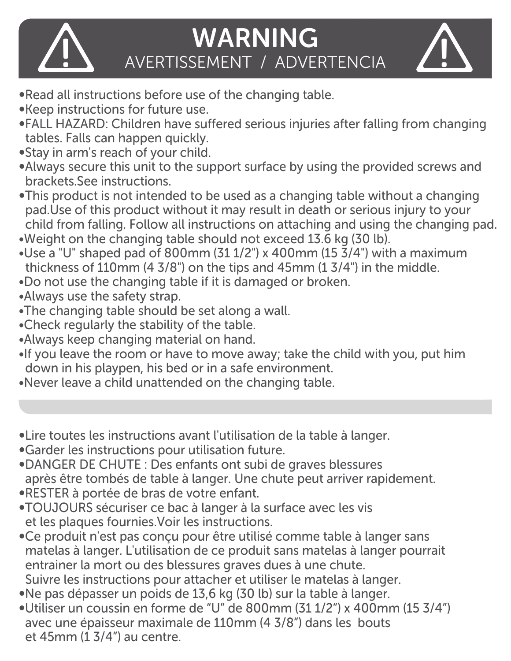

## WARNING IN AVERTISSEMENT / ADVERTENCIA

- ∞Read all instructions before use of the changing table.
- ∞Keep instructions for future use.
- ∞FALL HAZARD: Children have suffered serious injuries after falling from changing tables. Falls can happen quickly.
- ∞Stay in arm's reach of your child.
- ∞Always secure this unit to the support surface by using the provided screws and brackets.See instructions.
- ∞This product is not intended to be used as a changing table without a changing pad.Use of this product without it may result in death or serious injury to your child from falling. Follow all instructions on attaching and using the changing pad. ∞Weight on the changing table should not exceed 13.6 kg (30 lb).
- $\bullet$ Use a "U" shaped pad of 800mm (31 1/2") x 400mm (15 3/4") with a maximum thickness of 110mm (4 3/8") on the tips and 45mm (1 3/4") in the middle.
- ∞Do not use the changing table if it is damaged or broken.
- ∞Always use the safety strap.
- ∞The changing table should be set along a wall.
- ∞Check regularly the stability of the table.
- ∞Always keep changing material on hand.
- ∞If you leave the room or have to move away; take the child with you, put him down in his playpen, his bed or in a safe environment.
- ∞Never leave a child unattended on the changing table.
- ∞Lire toutes les instructions avant l'utilisation de la table à langer.
- ∞Garder les instructions pour utilisation future.
- ∞DANGER DE CHUTE : Des enfants ont subi de graves blessures après être tombés de table à langer. Une chute peut arriver rapidement.
- ∞RESTER à portée de bras de votre enfant.
- ∞TOUJOURS sécuriser ce bac à langer à la surface avec les vis et les plaques fournies.Voir les instructions.
- ∞Ce produit n'est pas conçu pour être utilisé comme table à langer sans matelas à langer. L'utilisation de ce produit sans matelas à langer pourrait entrainer la mort ou des blessures graves dues à une chute.
- Suivre les instructions pour attacher et utiliser le matelas à langer.
- ∞Ne pas dépasser un poids de 13,6 kg (30 lb) sur la table à langer.
- ∞Utiliser un coussin en forme de "U" de 800mm (31 1/2") x 400mm (15 3/4") avec une épaisseur maximale de 110mm (4 3/8") dans les bouts et 45mm (1 3/4") au centre.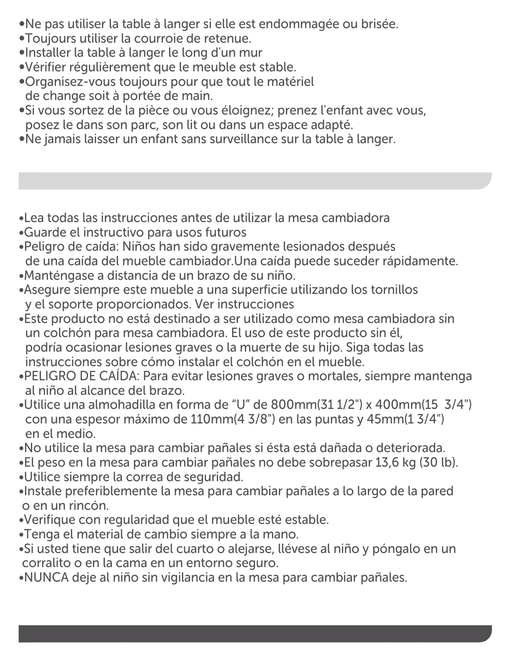∞Ne pas utiliser la table à langer si elle est endommagée ou brisée.

- ∞Toujours utiliser la courroie de retenue.
- ∞Installer la table à langer le long d'un mur
- ∞Vérifier régulièrement que le meuble est stable.
- ∞Organisez-vous toujours pour que tout le matériel de change soit à portée de main.
- ∞Si vous sortez de la pièce ou vous éloignez; prenez l'enfant avec vous, posez le dans son parc, son lit ou dans un espace adapté.
- ∞Ne jamais laisser un enfant sans surveillance sur la table à langer.
- ∞Lea todas las instrucciones antes de utilizar la mesa cambiadora
- ∞Guarde el instructivo para usos futuros
- ∞Peligro de caída: Niños han sido gravemente lesionados después de una caída del mueble cambiador.Una caída puede suceder rápidamente.
- ∞Manténgase a distancia de un brazo de su niño.
- ∞Asegure siempre este mueble a una superficie utilizando los tornillos y el soporte proporcionados. Ver instrucciones
- ∞Este producto no está destinado a ser utilizado como mesa cambiadora sin un colchón para mesa cambiadora. El uso de este producto sin él, podría ocasionar lesiones graves o la muerte de su hijo. Siga todas las instrucciones sobre cómo instalar el colchón en el mueble.
- ∞PELIGRO DE CAÍDA: Para evitar lesiones graves o mortales, siempre mantenga al niño al alcance del brazo.
- ∞Utilice una almohadilla en forma de "U" de 800mm(31 1/2") x 400mm(15 3/4") con una espesor máximo de 110mm(4 3/8") en las puntas y 45mm(1 3/4") en el medio.
- ∞No utilice la mesa para cambiar pañales si ésta está dañada o deteriorada.
- ∞El peso en la mesa para cambiar pañales no debe sobrepasar 13,6 kg (30 lb). ∞Utilice siempre la correa de seguridad.
- ∞Instale preferiblemente la mesa para cambiar pañales a lo largo de la pared o en un rincón.
- ∞Verifique con regularidad que el mueble esté estable.
- ∞Tenga el material de cambio siempre a la mano.
- ∞Si usted tiene que salir del cuarto o alejarse, llévese al niño y póngalo en un corralito o en la cama en un entorno seguro.
- ∞NUNCA deje al niño sin vigilancia en la mesa para cambiar pañales.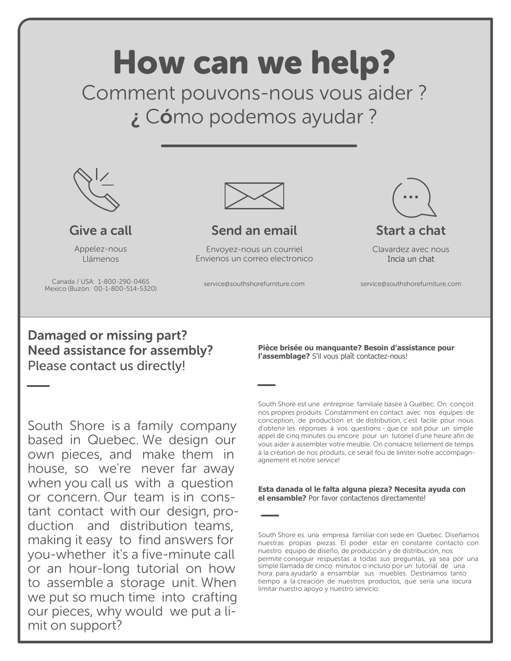

South Shore is a family company based in Quebec. We design our own pieces, and make them in house, so we're never far away when you call us with a question or concern. Our team is in constant contact with our design, production and distribution teams, making it easy to find answers for you-whether it's a five-minute call or an hour-long tutorial on how to assemble a storage unit. When we put so much time into crafting our pieces, why would we put a limit on support?

South Shore est une entreprise familiale basée à Québec. On conçoit nos propres produits. Constamment en contact avec nos équipes de conception, de production et de distribution, c'est facile pour nous d'obtenir les réponses à vos questions - que ce soit pour un simple appel de cinq minutes ou encore pour un tutoriel d'une heure afin de vous aider à assembler votre meuble. On consacre tellement de temps à la création de nos produits, ce serait fou de limiter notre accompagnagnement et notre service!

**Esta danada ol le falta alguna pieza? Necesita ayuda con el ensamble?** Por favor contactenos directamente!

South Shore es una empresa familiar con sede en Quebec. Diseñamos nuestras propias piezas. El poder estar en constante contacto con nuestro equipo de diseño, de producción y de distribución, nos permite conseguir respuestas a todas sus preguntas, ya sea por una simple llamada de cinco minutos o incluso por un tutorial de una hora para ayudarlo a ensamblar sus muebles. Destinamos tanto tiempo a la creación de nuestros productos, que sería una locura limitar nuestro apoyo y nuestro servicio.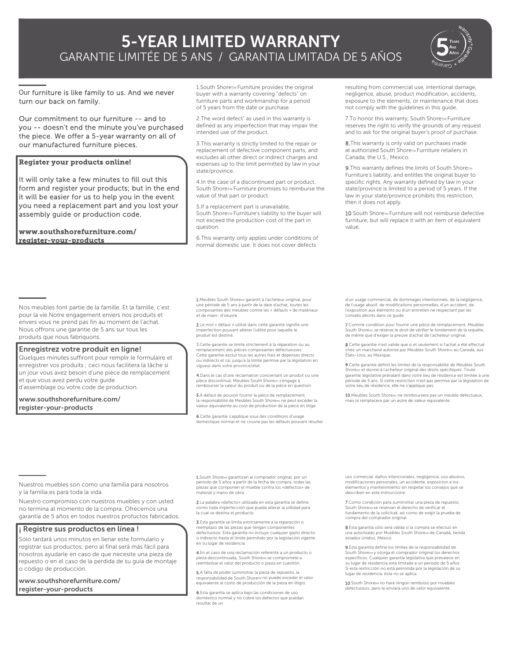### 5-YEAR LIMITED WARRANTY GARANTIE LIMITÉE DE 5 ANS / GARANTIA LIMITADA DE 5 AÑOS



Our furniture is like family to us. And we never turn our back on family.

Our commitment to our furniture -- and to you -- doesn't end the minute you've purchased the piece. We offer a 5-year warranty on all of our manufactured furniture pieces.

### Register your products online!

l,

It will only take a few minutes to fill out this form and register your products; but in the end it will be easier for us to help you in the event you need a replacement part and you lost your assembly guide or production code.

Nos meubles font partie de la famille. Et la famille, c'est pour la vie.Notre engagement envers nos produits et envers vous ne prend pas fin au moment de l'achat. Nous offrons une garantie de 5 ans sur tous les

Quelques minutes suffiront pour remplir le formulaire et enregistrer vos produits ; ceci nous facilitera la tâche si un jour vous avez besoin d'une pièce de remplacement

Enregistrez votre produit en ligne!

www.southshorefurniture.com/ register-your-products

produits que nous fabriquons.

et que vous avez perdu votre guide d'assemblage ou votre code de production. www.southshorefurniture.com/ register-your-products

1. South Shoret Furniture provides the original buyer with a warranty covering "defects" on furniture parts and workmanship for a period of 5 years from the date or purchase.

2.The word defect" as used in this warranty is defined as any imperfection that may impair the intended use of the product.

3.This warranty is strictly limited to the repair or replacement of defective component parts, and excludes all other direct or indirect charges and expenses up to the limit permitted by law in your state/province.

4.In the case of a discontinued part or product, South ShoreTM Furniture promises to reimburse the value of that part or product.

5.If a replacement part is unavailable, South ShoreTM Furniture's liability to the buyer will not exceed the production cost of the part in question.

6.This warranty only applies under conditions of normal domestic use. It does not cover defects

1. Meubles South ShoreMc garantit à l'acheteur original, pour une période de 5 ans à partir de la date d'achat, toutes les<br>composantes des meubles contre les « défauts » de maté posantes des meubles contre les « défauts » de matériaux et de main- d'oeuvre.

2.Le mot « défaut » utilisé dans cette garantie signifie une mperfection pouvant altérer l'utilité pour laquelle le produit est destiné.

3.Cette garantie se limite strictement à la réparation ou au remplacement des pièces composantes défectueuses. Cette garantie exclut tous les autres frais et dépenses directs ou indirects et ce, jusqu'à la limite permise par la législation en vigueur dans votre province/état.

4.Dans le cas d'une réclamation concernant un produit ou une pièce discontinué, Meubles South ShoreMc s'engage à rembourser la valeur du produit ou de la pièce en question.

5.À défaut de pouvoir fournir la pièce de remplacement la responsabilité de Meubles South ShoreMc ne peut excéder la valeur équivalente au coût de production de la pièce en litige.

6.Cette garantie s'applique sous des conditions d'usage que normal et ne couvre pas les défauts pouvant résulter resulting from commercial use, intentional damage, negligence, abuse, product modification, accidents, exposure to the elements, or maintenance that does not comply with the guidelines in this guide.

7.To honor this warranty, South ShoreTM Furniture reserves the right to verify the grounds of any request and to ask for the original buyer's proof of purchase.

8. This warranty is only valid on purchases made at authorized South ShoreTM Furniture retailers in Canada, the U.S., Mexico.

9. This warranty defines the limits of South ShoreTM Furniture's liability, and entitles the original buyer to specific rights. Any warranty defined by law in your state/province is limited to a period of 5 years. If the law in your state/province prohibits this restriction, then it does not apply.

10.South ShoreTM Furniture will not reimburse defective furniture, but will replace it with an item of equivalent value.

d'un usage commercial, de dommages intentionnels, de la négligence, de l'usage abusif, de modifications personnelles, d'un accident, de l'exposition aux éléments ou d'un entretien ne respectant pas les conseils décrits dans ce guide.

7.Comme condition pour fournir une pièce de remplacement, Meubles South Shore<sub>MC</sub> se réserve le droit de vérifier le fondement de la requête,<br>de même que d'exiger la preuve d'achat de l'acheteur original.

8.Cette garantie n'est valide que si et seulement si l'achat a été effectué chez un marchand autorisé par Meubles South ShoreMc au Canada, aux États-Unis, au Mexique.

9.Cette garantie définit les limites de la responsabilité de Meubles South s<br>et donne à l'acheteur original des droits spécifiques. Toute garantie législative prévalant dans votre lieu de résidence est limitée à une période de 5 ans. Si cette restriction n'est pas permise par la législation de votre lieu de résidence, elle ne s'applique pas.

10. Meubles South ShoreMc ne remboursera pas un meuble défectueux. mais le remplacera par un autre de valeur équivalente.

Nuestros muebles son como una familia para nosotros y la familia,es para toda la vida.

Nuestro compromiso con nuestros muebles y con usted no termina al momento de la compra. Ofrecemos una garantía de 5 años en todos nuestros profuctos fabricados.

### ¡ Registre sus productos en línea !

Sólo tardará unos minutos en llenar este formulario y registrar sus productos; pero al final será más fácil para nosotros ayudarle en caso de que necesite una pieza de repuesto o en el caso de la perdida de su guía de montaje o código de producción.

www.southshorefurniture.com/ register-your-products

1. South ShoreMR garantizan al comprador original, por un período de 5 años a partir de la fecha de compra, todas las piezas que componen el mueble contra los «defectos» de material y mano de obra.

2.La palabra «defecto» utilizada en esta garantía se define como toda imperfección que pueda alterar la utilidad para la cual se destina el producto.

3.Esta garantía se limita estrictamente a la reparación o reemplazo de las piezas que tengan componentes defectuosos. Esta garantía no incluye cualquier gasto directo o indirecto hasta el límite permitido por la legislación vigente en su lugar de residencia.

4.En el caso de una reclamación referente a un producto o pieza descontinuada, South ShoreMR se compromete a reembolsar el valor del producto o pieza en cuestión.

5.A falta de poder suministrar la pieza de repuesto, la responsabilidad de South ShoreMR no puede exceder el valor equivalente al costo de producción de la pieza en litigio.

6.Esta garantía se aplica bajo las condiciones de uso doméstico normal y no cubre los defectos que puedan resultar de un

uso comercial, daños intencionales, negligencia, uso abusivo, modificaciones personales, un accidente, exposicíon a los elementos y mantenimiento sin respetar los consejos que se describen en este instruccione.

omo condición para suministrar una pieza de repuesto, South ShoreMR se reservan el derecho de verificar el fundamento de la solicitud, así como de exigir la prueba de compra del comprador original.

8.Esta garantía sólo será válida si la compra se efectuó en .<br>una autorizado por Muebles South ShoreMR de Canadá, tienda estados Unidos, México.

9.Esta garantía define los límites de la responsabilidad de South Shorемя у otorga el comprador original los derechos<br>específicos. Cualquier garantía legislativa que prevalece en su lugar de residencia está límitada a un período de 5 años. Si esta restricción no está permitida por la legislación de su lugar de residencia, ésta no se aplica.

**10**.South Shoremano hará ningún rembolso por muebles<br>defectuosos, pero le enviará uno de valor equivalente.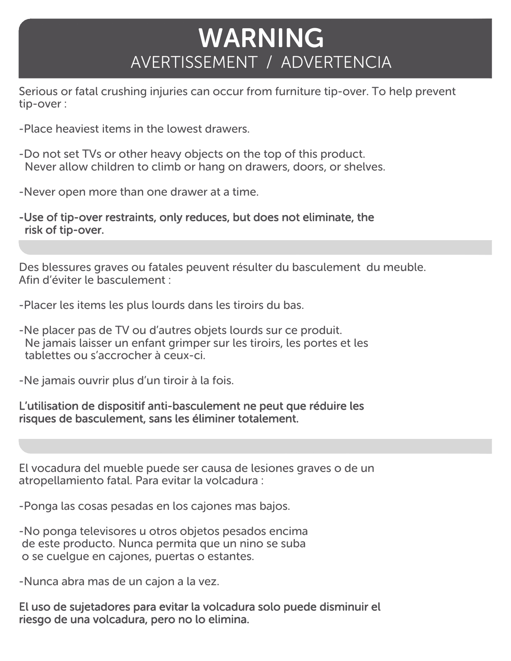# WARNING AVERTISSEMENT / ADVERTENCIA

Serious or fatal crushing injuries can occur from furniture tip-over. To help prevent tip-over :

- -Place heaviest items in the lowest drawers.
- -Do not set TVs or other heavy objects on the top of this product. Never allow children to climb or hang on drawers, doors, or shelves.
- -Never open more than one drawer at a time.
- -Use of tip-over restraints, only reduces, but does not eliminate, the risk of tip-over.

Des blessures graves ou fatales peuvent résulter du basculement du meuble. Afin d'éviter le basculement :

-Placer les items les plus lourds dans les tiroirs du bas.

-Ne placer pas de TV ou d'autres objets lourds sur ce produit. Ne jamais laisser un enfant grimper sur les tiroirs, les portes et les tablettes ou s'accrocher à ceux-ci.

-Ne jamais ouvrir plus d'un tiroir à la fois.

### L'utilisation de dispositif anti-basculement ne peut que réduire les risques de basculement, sans les éliminer totalement.

El vocadura del mueble puede ser causa de lesiones graves o de un atropellamiento fatal. Para evitar la volcadura :

-Ponga las cosas pesadas en los cajones mas bajos.

-No ponga televisores u otros objetos pesados encima de este producto. Nunca permita que un nino se suba o se cuelgue en cajones, puertas o estantes.

-Nunca abra mas de un cajon a la vez.

El uso de sujetadores para evitar la volcadura solo puede disminuir el riesgo de una volcadura, pero no lo elimina.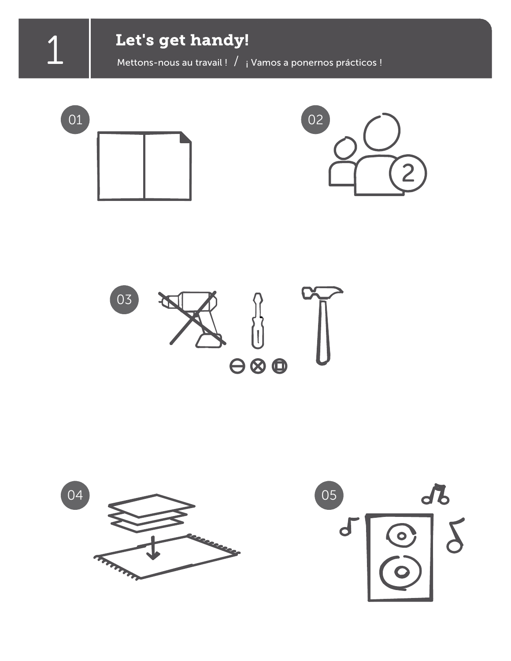1 **Let's get handy!**<br>Mettons-nous au travail ! / i Vamos a ponernos prácticos !







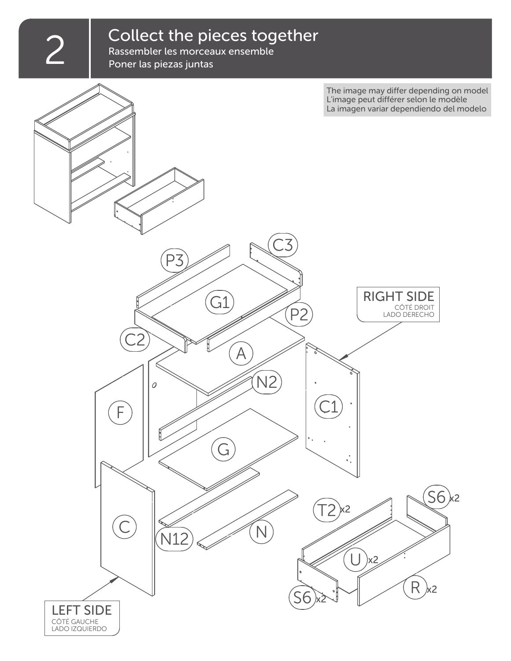# $2 \int_{\text{Passembler les morceaux ensemble}} \text{Consember les morceaux ensemble}$

Rassembler les morceaux ensemble Poner las piezas juntas

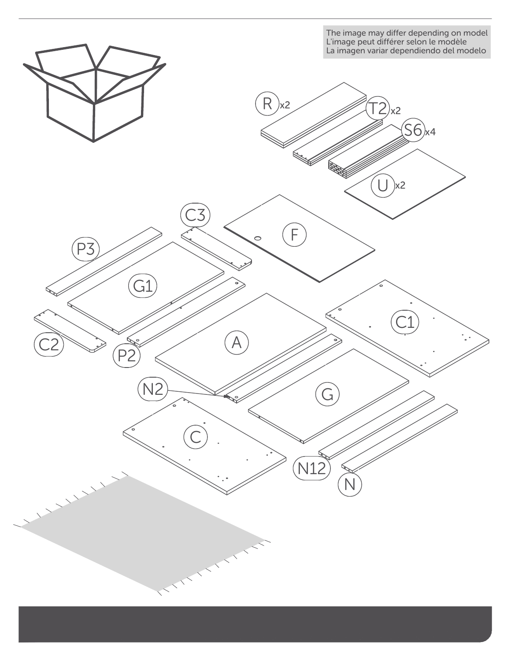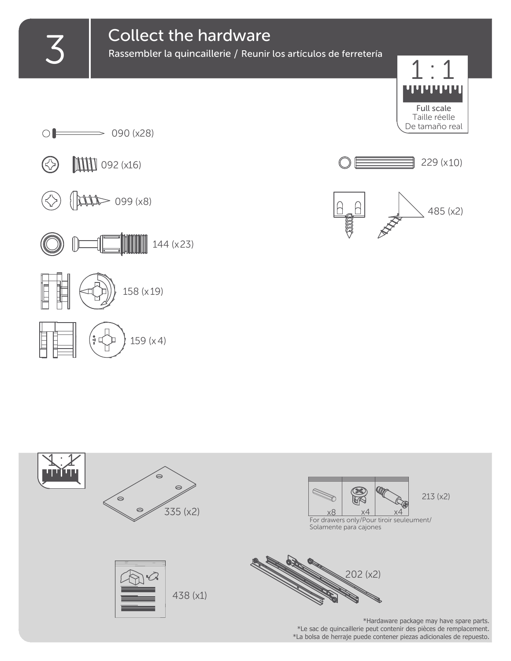# **3** Collect the hardware<br>Rassembler la quincaillerie / Reunir

Rassembler la quincaillerie / Reunir los artículos de ferretería















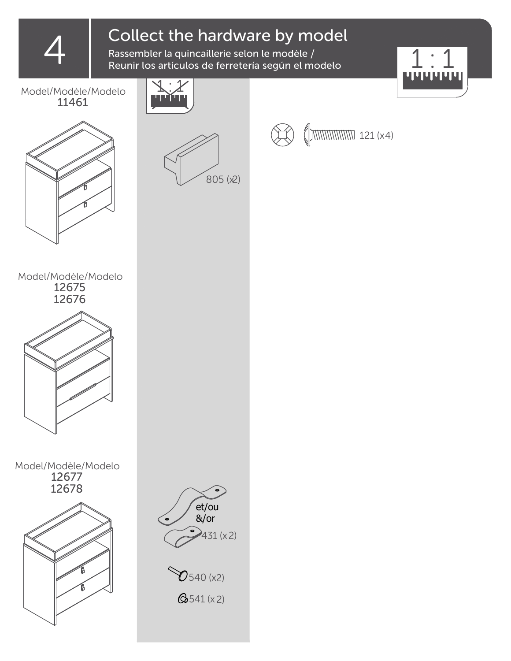Collect the hardware by model<br>Rassembler la quincaillerie selon le modèle /<br>Reunir los artículos de ferretería según el modelo Rassembler la quincaillerie selon le modèle / Reunir los artículos de ferretería según el modelo



Model/Modèle/Modelo 11461





121 (x4)





Model/Modèle/Modelo 12677 12678



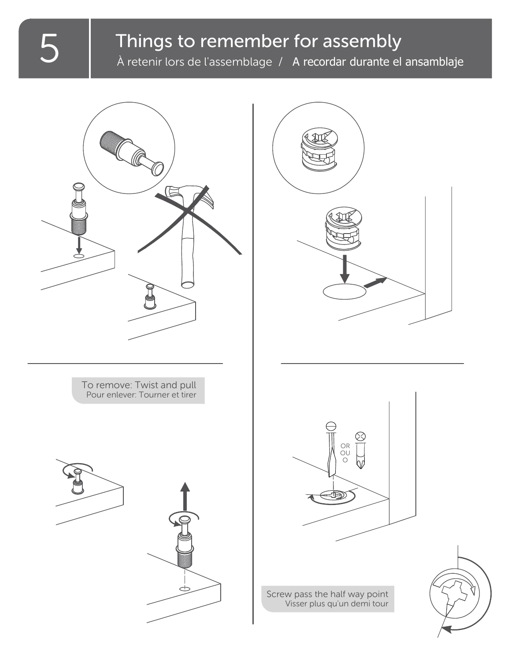## Things to remember for assembly

À retenir lors de l'assemblage / A recordar durante el ansamblaje

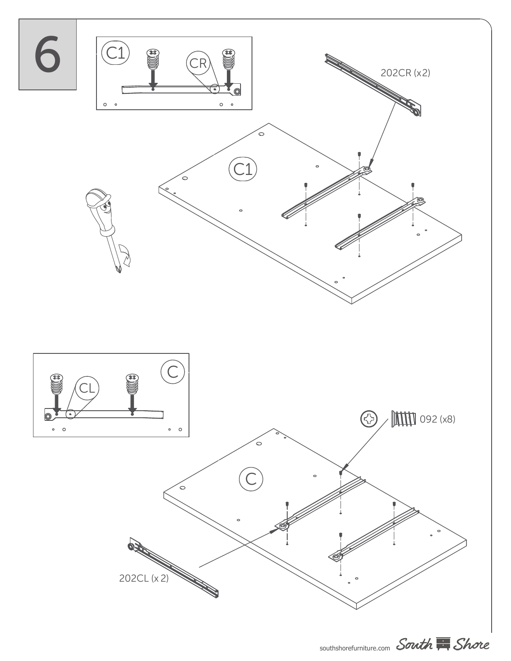

southshorefurniture.com South Shore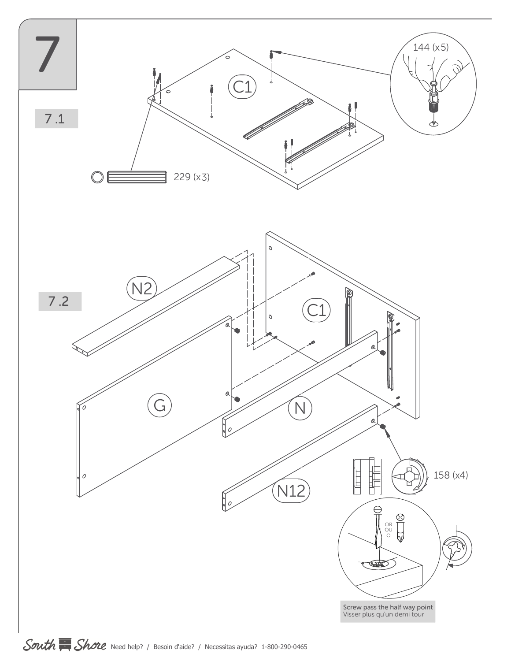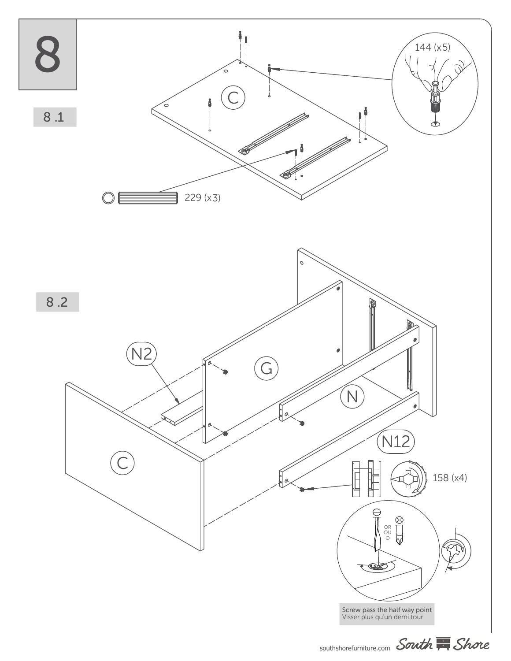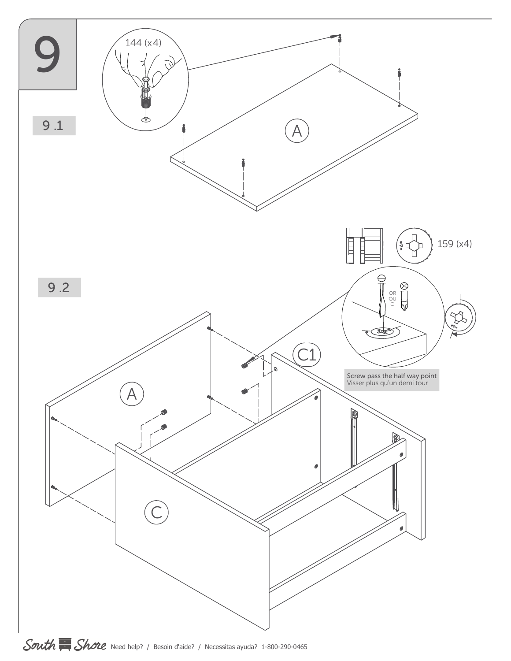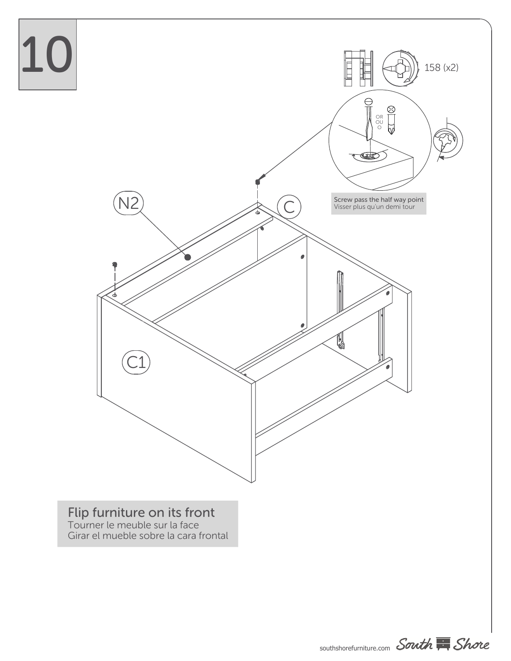

### Flip furniture on its front

Tourner le meuble sur la face Girar el mueble sobre la cara frontal



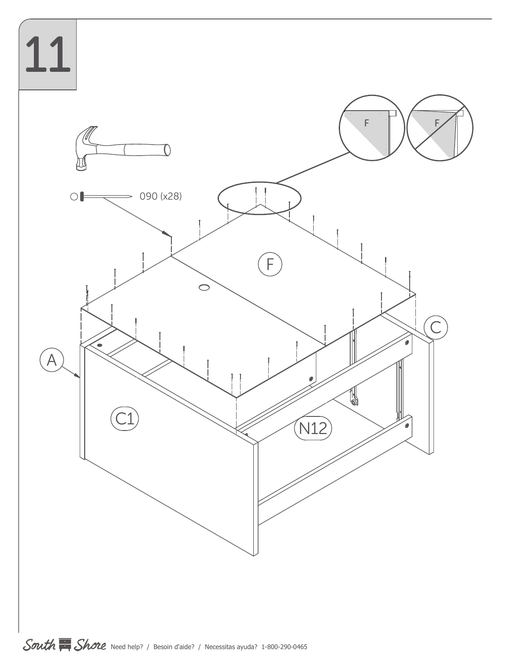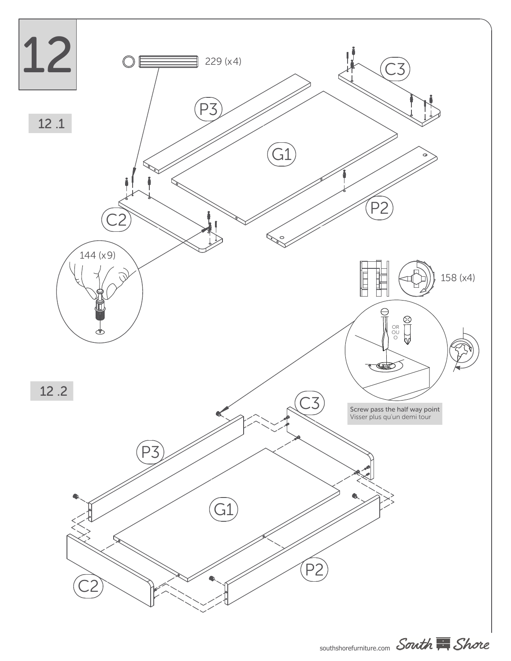

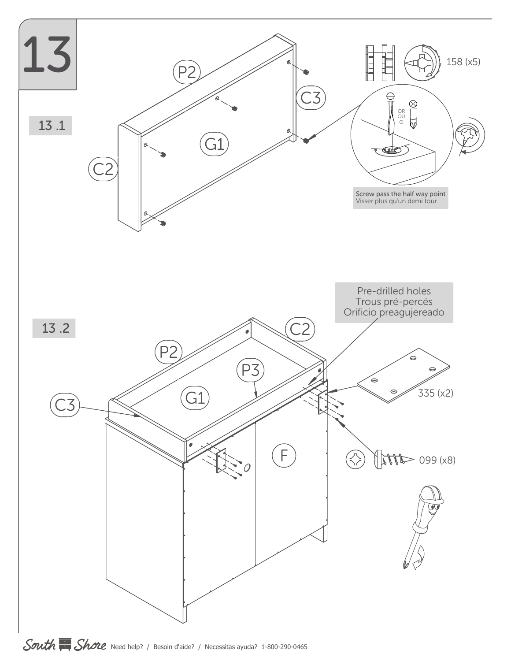

South Shore Need help? / Besoin d'aide? / Necessitas ayuda? 1-800-290-0465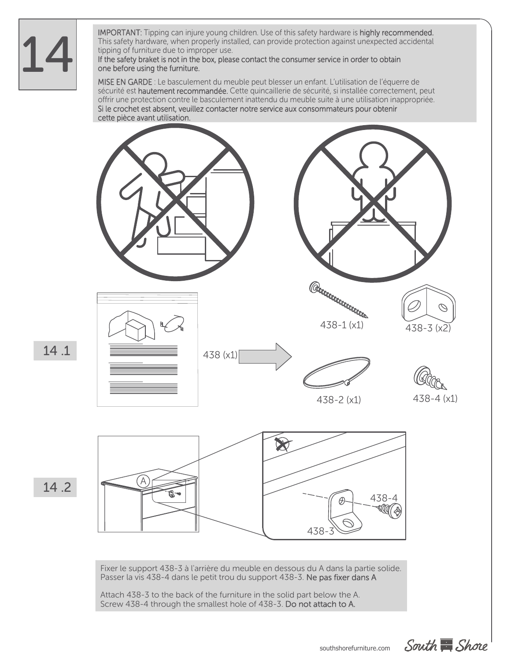14

IMPORTANT: Tipping can injure young children. Use of this safety hardware is highly recommended. This safety hardware, when properly installed, can provide protection against unexpected accidental tipping of furniture due to improper use.

### If the safety braket is not in the box, please contact the consumer service in order to obtain one before using the furniture.

MISE EN GARDE : Le basculement du meuble peut blesser un enfant. L'utilisation de l'équerre de sécurité est hautement recommandée. Cette quincaillerie de sécurité, si installée correctement, peut offrir une protection contre le basculement inattendu du meuble suite à une utilisation inappropriée. Si le crochet est absent, veuillez contacter notre service aux consommateurs pour obtenir cette pièce avant utilisation.





Fixer le support 438-3 à l'arrière du meuble en dessous du A dans la partie solide. Passer la vis 438-4 dans le petit trou du support 438-3. Ne pas fixer dans A

Attach 438-3 to the back of the furniture in the solid part below the A. Screw 438-4 through the smallest hole of 438-3. Do not attach to A.

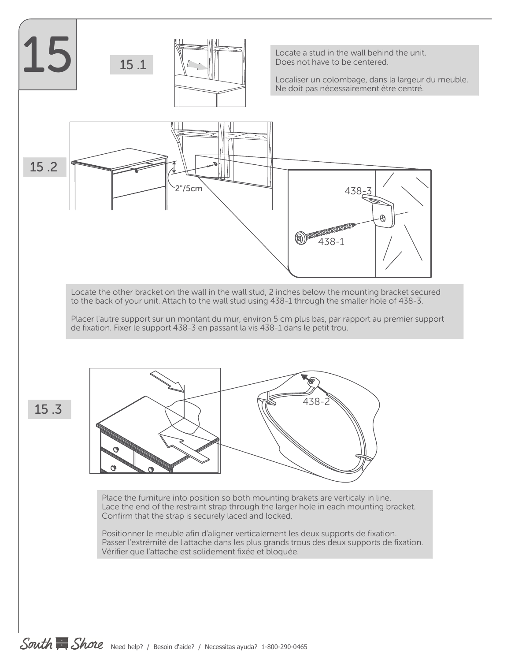

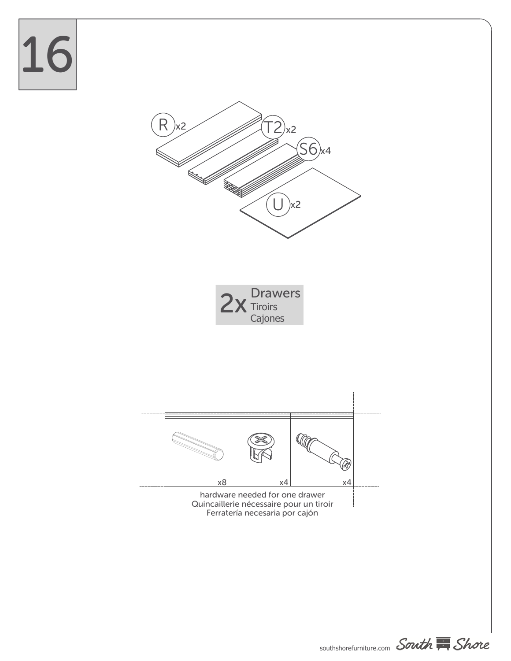# 16









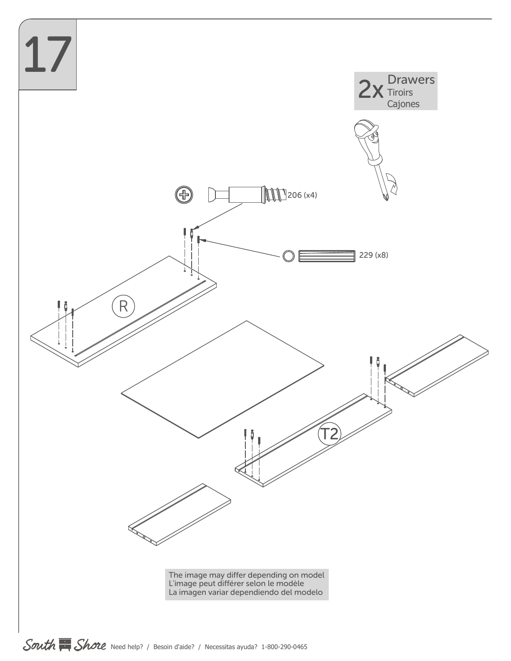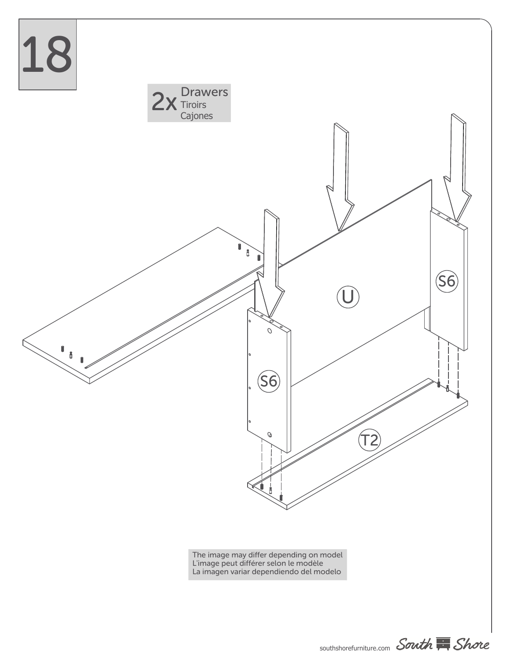

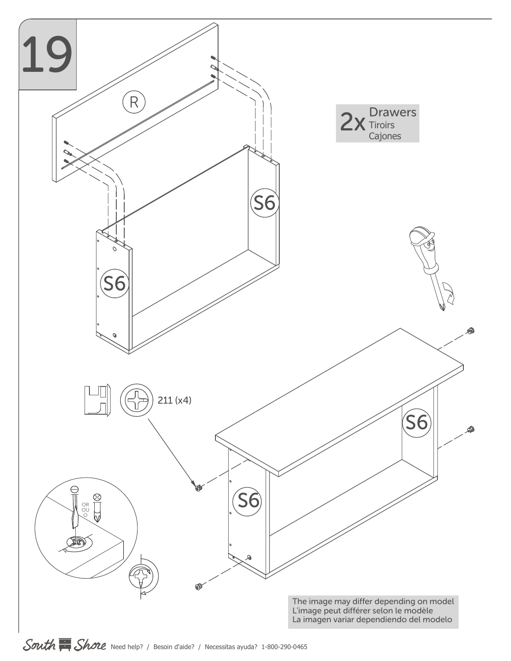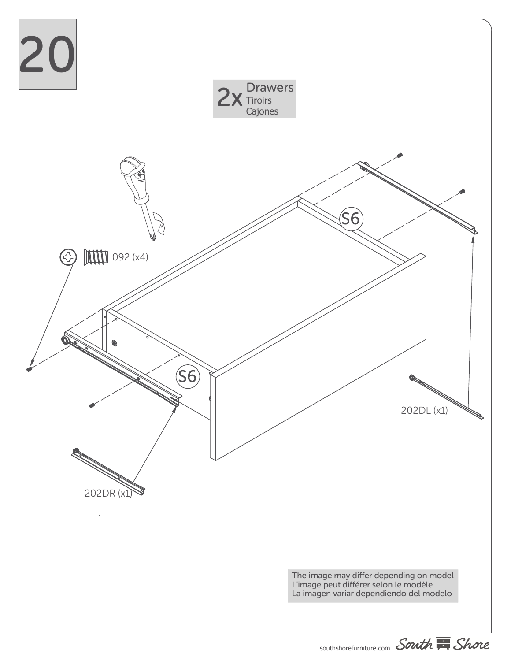

The image may differ depending on model L'image peut différer selon le modèle La imagen variar dependiendo del modelo

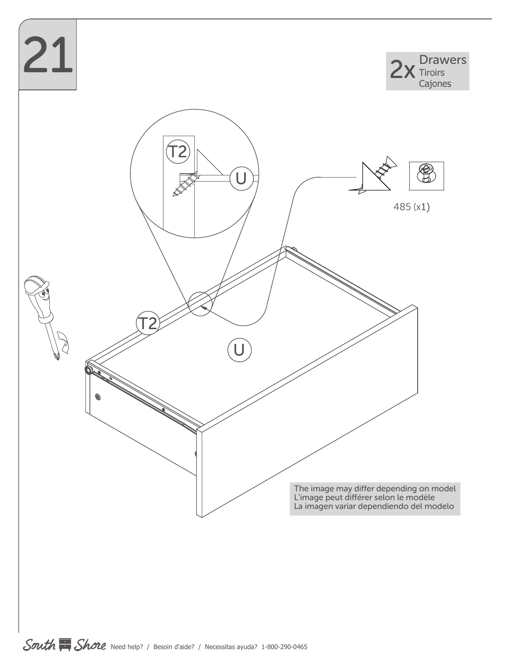

South  $\overline{\mathbb{R}}$  Shore Need help? / Besoin d'aide? / Necessitas ayuda? 1-800-290-0465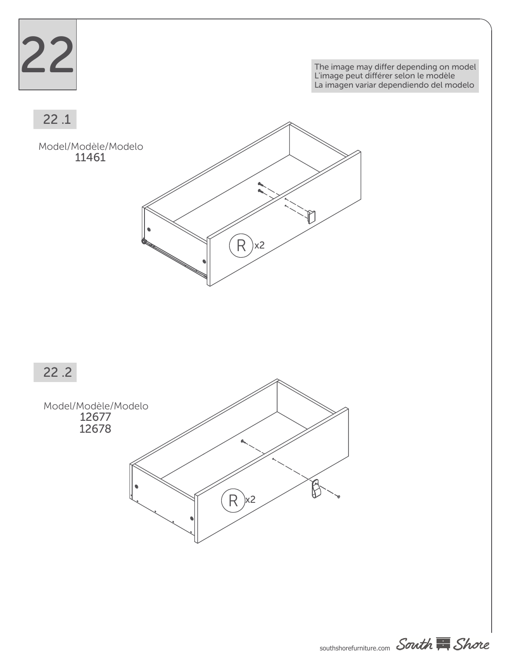

The image may differ depending on model L'image peut différer selon le modèle La imagen variar dependiendo del modelo

22 .1

Model/Modèle/Modelo 11461







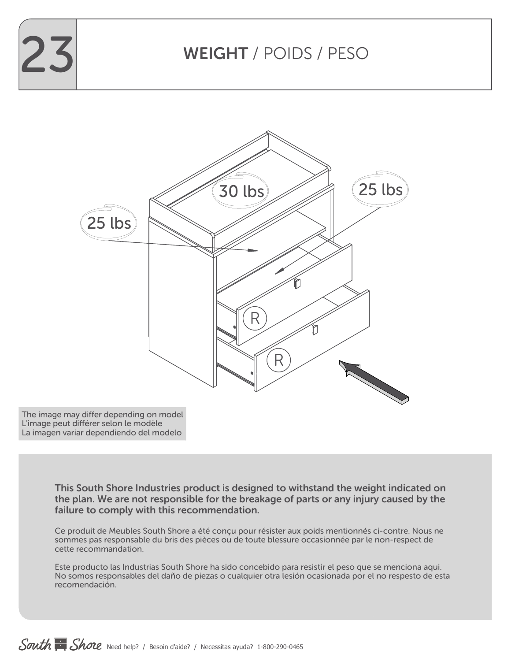

## WEIGHT / POIDS / PESO



The image may differ depending on model L'image peut différer selon le modèle La imagen variar dependiendo del modelo

> This South Shore Industries product is designed to withstand the weight indicated on the plan. We are not responsible for the breakage of parts or any injury caused by the failure to comply with this recommendation.

> Ce produit de Meubles South Shore a été conçu pour résister aux poids mentionnés ci-contre. Nous ne sommes pas responsable du bris des pièces ou de toute blessure occasionnée par le non-respect de cette recommandation.

Este producto las Industrias South Shore ha sido concebido para resistir el peso que se menciona aqui. No somos responsables del daño de piezas o cualquier otra lesión ocasionada por el no respesto de esta recomendación.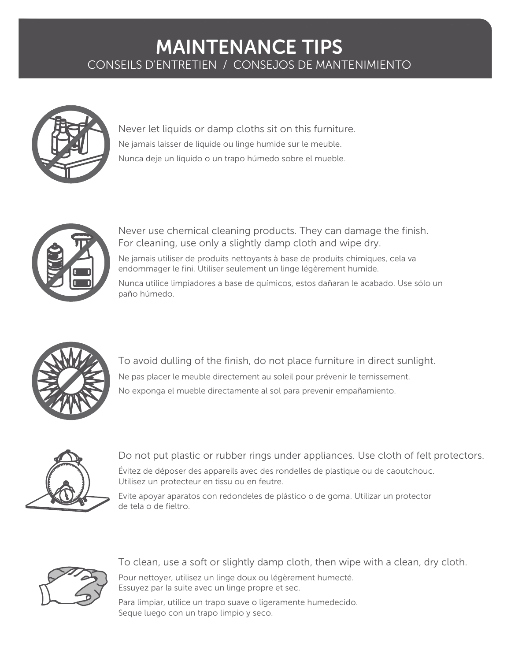### MAINTENANCE TIPS CONSEILS D'ENTRETIEN / CONSEJOS DE MANTENIMIENTO



Never let liquids or damp cloths sit on this furniture. Ne jamais laisser de liquide ou linge humide sur le meuble. Nunca deje un líquido o un trapo húmedo sobre el mueble.



Never use chemical cleaning products. They can damage the finish. For cleaning, use only a slightly damp cloth and wipe dry.

Ne jamais utiliser de produits nettoyants à base de produits chimiques, cela va endommager le fini. Utiliser seulement un linge légèrement humide.

Nunca utilice limpiadores a base de químicos, estos dañaran le acabado. Use sólo un paño húmedo.



To avoid dulling of the finish, do not place furniture in direct sunlight. Ne pas placer le meuble directement au soleil pour prévenir le ternissement. No exponga el mueble directamente al sol para prevenir empañamiento.



Do not put plastic or rubber rings under appliances. Use cloth of felt protectors. Évitez de déposer des appareils avec des rondelles de plastique ou de caoutchouc.

Utilisez un protecteur en tissu ou en feutre.

Evite apoyar aparatos con redondeles de plástico o de goma. Utilizar un protector de tela o de fieltro.



To clean, use a soft or slightly damp cloth, then wipe with a clean, dry cloth.

Pour nettoyer, utilisez un linge doux ou légèrement humecté. Essuyez par la suite avec un linge propre et sec.

Para limpiar, utilice un trapo suave o ligeramente humedecido. Seque luego con un trapo limpio y seco.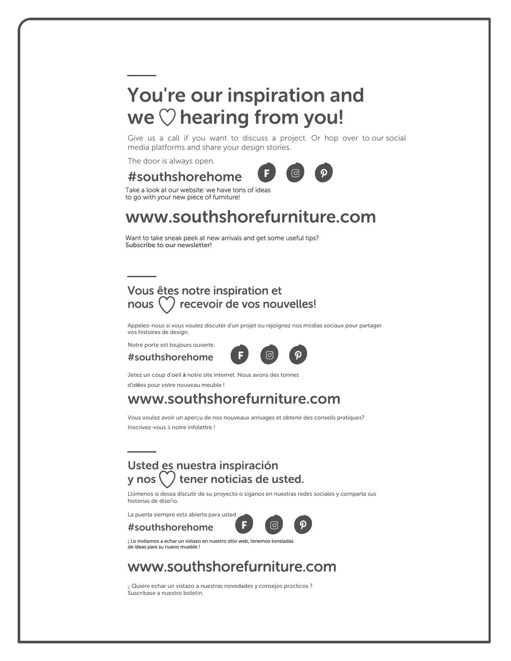## You're our inspiration and we  $\heartsuit$  hearing from you!

Give us a call if you want to discuss a project. Or hop over to our social media platforms and share your design stories.

F

The door is always open.

### #southshorehome



Take a look at our website: we have tons of ideas to go with your new piece of furniture!

### www.southshorefurniture.com

Want to take sneak peek at new arrivals and get some useful tips? Subscribe to our newsletter!

### Vous êtes notre inspiration et nous  $(')$  recevoir de vos nouvelles!

Appelez-nous si vous voulez discuter d'un projet ou rejoignez nos médias sociaux pour partager vos histoires de design.

Notre porte est toujours ouverte.

#southshorehome



Jetez un coup d'oeil à notre site internet. Nous avons des tonnes d'idées pour votre nouveau meuble !

### www.southshorefurniture.com

Vous voulez avoir un aperçu de nos nouveaux arrivages et obtenir des conseils pratiques? Inscrivez-vous à notre infolettre !

### Usted es nuestra inspiración  $\mathsf v$  nos  $\langle \cdot \rangle$  tener noticias de usted.

Llámenos si desea discutir de su proyecto o síganos en nuestras redes sociales y comparta sus historias de diseño.

La puerta siempre está abierta para usted.

#southshorehome



¡ Lo invitamos a echar un vistazo en nuestro sitio web, tenemos toneladas de ideas para su nuevo mueble !

### www.southshorefurniture.com

¿ Quiere echar un vistazo a nuestras novedades y consejos prácticos ? Suscríbase a nuestro boletín.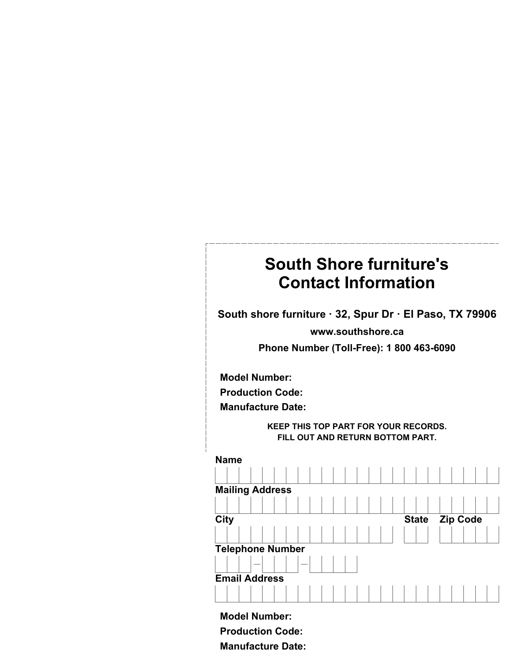### **South Shore furniture's Contact Information**

**South shore furniture · 32, Spur Dr · El Paso, TX 79906**

**www.southshore.ca**

**Phone Number (Toll-Free): 1 800 463-6090**

**Model Number:**

**Production Code:**

**Manufacture Date:**

**KEEP THIS TOP PART FOR YOUR RECORDS. FILL OUT AND RETURN BOTTOM PART.**



**Model Number: Production Code: Manufacture Date:**